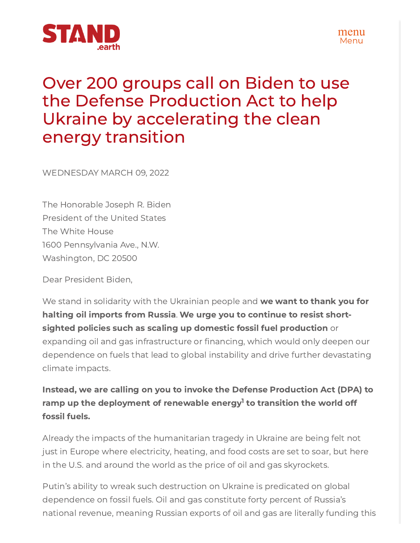



## Over 200 groups call on Biden to use the Defense Production Act to help Ukraine by accelerating the clean energy transition **STAND**<br> **Expanding OVER 200 groups call on Biden to use**<br> **the Defense Production Act to help**<br>
Ukraine by accelerating the clean<br>
energy transition<br>
WEDNESDAY MARCH 09, 2022<br>
The Honorable Joseph R. Biden<br>
The White Hous

WEDNESDAY MARCH 09, 2022

The Honorable Joseph R. Biden President of the United States The White House 1600 Pennsylvania Ave., N.W. Washington, DC 20500

Dear President Biden,

We stand in solidarity with the Ukrainian people and we want to thank you for halting oil imports from Russia. We urge you to continue to resist shortsighted policies such as scaling up domestic fossil fuel production or dependence on fuels that lead to global instability and drive further devastating climate impacts.

## Instead, we are calling on you to invoke the Defense Production Act (DPA) to ramp up the deployment of renewable energy<sup>1</sup> to transition the world off fossil fuels.

Already the impacts of the humanitarian tragedy in Ukraine are being felt not just in Europe where electricity, heating, and food costs are set to soar, but here in the U.S. and around the world as the price of oil and gas skyrockets.

Putin's ability to wreak such destruction on Ukraine is predicated on global dependence on fossil fuels. Oil and gas constitute forty percent of Russia's national revenue, meaning Russian exports of oil and gas are literally funding this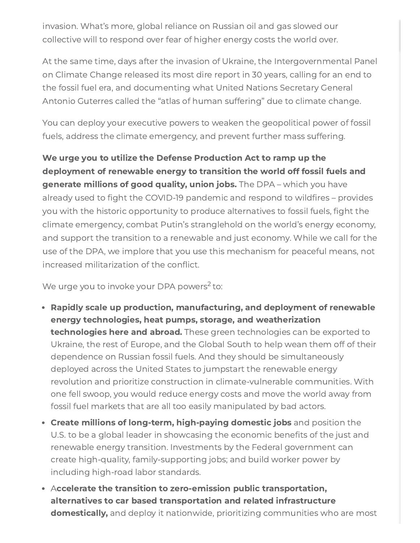invasion. What's more, global reliance on Russian oil and gas slowed our collective will to respond over fear of higher energy costs the world over.

At the same time, days after the invasion of Ukraine, the Intergovernmental Panel on Climate Change released its most dire report in 30 years, calling for an end to the fossil fuel era, and documenting what United Nations Secretary General Antonio Guterres called the "atlas of human suffering" due to climate change.

You can deploy your executive powers to weaken the geopolitical power of fossil fuels, address the climate emergency, and prevent further mass suffering.

We urge you to utilize the Defense Production Act to ramp up the deployment of renewable energy to transition the world off fossil fuels and generate millions of good quality, union jobs. The DPA – which you have invasion. What's more, global reliance on Russian oil and gas slowed our<br>collective will to respond over fear of higher energy costs the world over.<br>At the same time, days after the invasion of Ukraine, the Intergovernment invasion. What's more, global reliance on Russian oil and gas slowed our<br>collective will to respond over fear of higher energy costs the world over.<br>At the same time, days after the invasion of Ukraine, the Intergovernment climate emergency, combat Putin's stranglehold on the world's energy economy, and support the transition to a renewable and just economy. While we call for the use of the DPA, we implore that you use this mechanism for peaceful means, not invasion. What's more, global reliance on Russian oil and gas slowed our<br>collective will to respond over fear of higher energy costs the world over.<br>At the same time, days after the invasion of Ukraine, the Intergovernment wasion. What's more, global reliance on Russian cil and gas slowed our<br>illective will to respond over fear of higher energy costs the world over.<br>The same time, days after the invasion of Ukraine, the Intergovernmental Pan

We urge you to invoke your DPA powers<sup>2</sup> to:

- Rapidly scale up production, manufacturing, and deployment of renewable energy technologies, heat pumps, storage, and weatherization technologies here and abroad. These green technologies can be exported to Ukraine, the rest of Europe, and the Global South to help wean them off of their dependence on Russian fossil fuels. And they should be simultaneously deployed across the United States to jumpstart the renewable energy revolution and prioritize construction in climate-vulnerable communities. With one fell swoop, you would reduce energy costs and move the world away from fossil fuel markets that are all too easily manipulated by bad actors.
- Create millions of long-term, high-paying domestic jobs and position the renewable energy transition. Investments by the Federal government can create high-quality, family-supporting jobs; and build worker power by including high-road labor standards.
- Accelerate the transition to zero-emission public transportation, alternatives to car based transportation and related infrastructure **domestically,** and deploy it nationwide, prioritizing communities who are most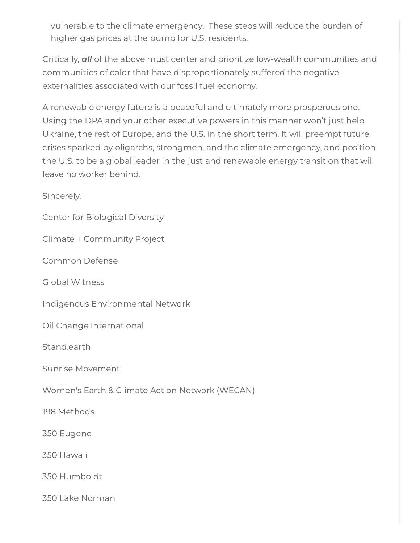vulnerable to the climate emergency. These steps will reduce the burden of higher gas prices at the pump for U.S. residents.

Critically, all of the above must center and prioritize low-wealth communities and communities of color that have disproportionately suffered the negative externalities associated with our fossil fuel economy.

A renewable energy future is a peaceful and ultimately more prosperous one. Using the DPA and your other executive powers in this manner won't just help Ukraine, the rest of Europe, and the U.S. in the short term. It will preempt future crises sparked by oligarchs, strongmen, and the climate emergency, and position the U.S. to be a global leader in the just and renewable energy transition that will leave no worker behind.

Sincerely,

Center for Biological Diversity

Climate + Community Project

Common Defense

Global Witness

Indigenous Environmental Network

Oil Change International

Stand.earth

Sunrise Movement

Women's Earth & Climate Action Network (WECAN)

198 Methods

350 Eugene

350 Hawaii

350 Humboldt

350 Lake Norman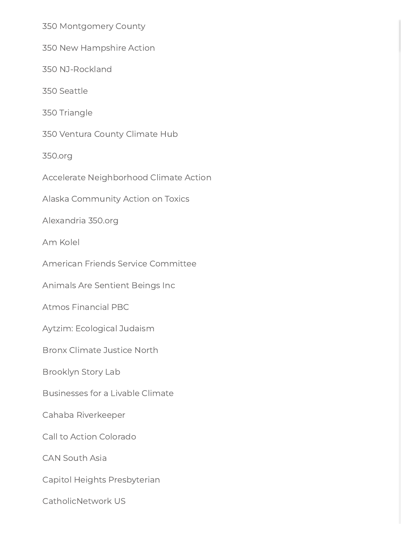350 Montgomery County

350 New Hampshire Action

350 NJ-Rockland

350 Seattle

350 Triangle

350 Ventura County Climate Hub

350.org

Accelerate Neighborhood Climate Action

Alaska Community Action on Toxics

Alexandria 350.org

Am Kolel

American Friends Service Committee

Animals Are Sentient Beings Inc

Atmos Financial PBC

Aytzim: Ecological Judaism

Bronx Climate Justice North

Brooklyn Story Lab

Businesses for a Livable Climate

Cahaba Riverkeeper

Call to Action Colorado

CAN South Asia

Capitol Heights Presbyterian

CatholicNetwork US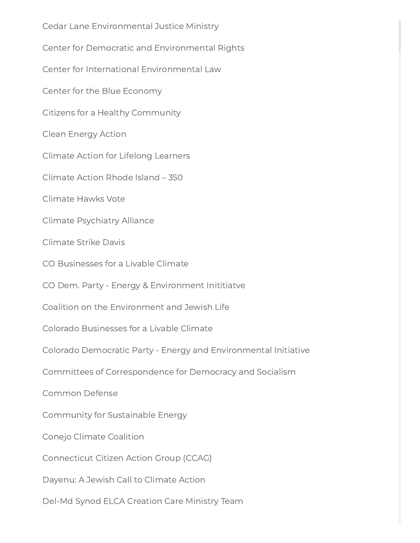Cedar Lane Environmental Justice Ministry Center for Democratic and Environmental Rights Center for International Environmental Law Center for the Blue Economy Citizens for a Healthy Community Clean Energy Action Climate Action for Lifelong Learners Climate Action Rhode Island – 350 Climate Hawks Vote Climate Psychiatry Alliance Climate Strike Davis CO Businesses for a Livable Climate CO Dem. Party - Energy & Environment Inititiatve Coalition on the Environment and Jewish Life Colorado Businesses for a Livable Climate Colorado Democratic Party - Energy and Environmental Initiative Committees of Correspondence for Democracy and Socialism Common Defense Community for Sustainable Energy Conejo Climate Coalition Connecticut Citizen Action Group (CCAG) Dayenu: A Jewish Call to Climate Action Del-Md Synod ELCA Creation Care Ministry Team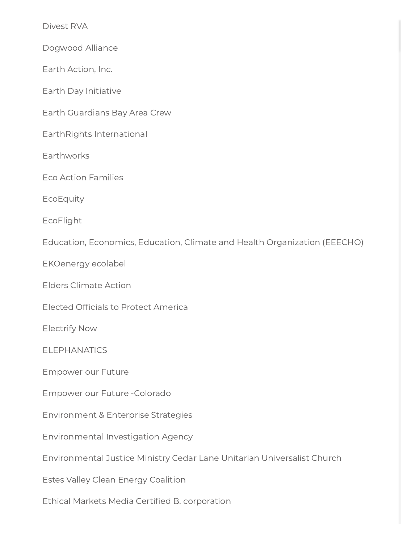Divest RVA

Dogwood Alliance

Earth Action, Inc.

Earth Day Initiative

Earth Guardians Bay Area Crew

EarthRights International

**Earthworks** 

Eco Action Families

EcoEquity

EcoFlight

Education, Economics, Education, Climate and Health Organization (EEECHO) Divest RVA<br>Dogwood Alliance<br>Earth Action, Inc.<br>Earth Day Initiative<br>Earth Guardians Bay Area Crew<br>EarthRights International<br>Earthworks<br>Eco Action Families<br>EcoEquity<br>EcoFlight<br>Education, Economics, Education, C<br>EKOenergy ec Divent RVA<br>
Dogwood Alliance<br>
Earth Action, Inc.<br>
Earth Day Initiative<br>
Earth Right International<br>
Earthworks<br>
Earthworks<br>
Earthworks<br>
EcoEquity<br>
EcoEquity<br>
EcoEquity<br>
EcoEquity<br>
EcoEquity<br>
EcoEquity<br>
EcoEquity<br>
EcoEquity<br>

EKOenergy ecolabel

Elders Climate Action

Electrify Now

**ELEPHANATICS** 

Empower our Future

Empower our Future -Colorado

Environment & Enterprise Strategies

Environmental Investigation Agency

Environmental Justice Ministry Cedar Lane Unitarian Universalist Church

Estes Valley Clean Energy Coalition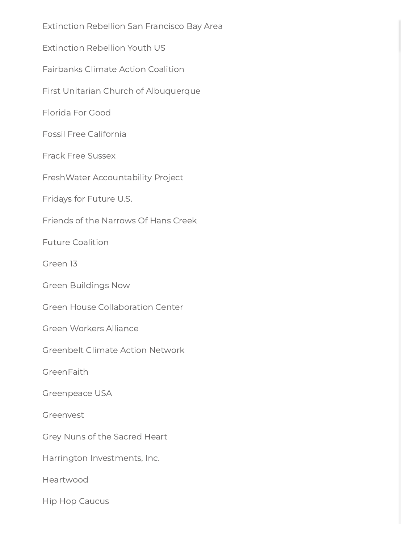Extinction Rebellion San Francisco Bay Area Extinction Rebellion Youth US Fairbanks Climate Action Coalition First Unitarian Church of Albuquerque Florida For Good Fossil Free California Frack Free Sussex FreshWater Accountability Project Fridays for Future U.S. Friends of the Narrows Of Hans Creek Future Coalition Green 13 Green Buildings Now Green House Collaboration Center Green Workers Alliance Greenbelt Climate Action Network GreenFaith Greenpeace USA Greenvest Grey Nuns of the Sacred Heart Harrington Investments, Inc. Heartwood Hip Hop Caucus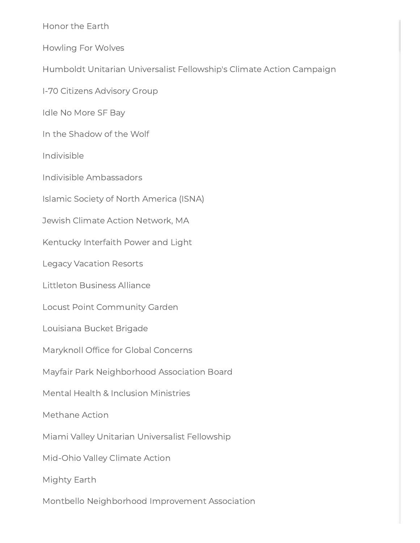Honor the Earth

Howling For Wolves

Humboldt Unitarian Universalist Fellowship's Climate Action Campaign Honor the Earth<br>Howling For Wolves<br>Humboldt Unitarian Universalist Fellowship!<br>1-70 Citizens Advisory Group<br>Idle No More SF Bay<br>In the Shadow of the Wolf<br>Indivisible<br>Indivisible<br>Indivisible Ambassadors<br>Islamic Society of N

I-70 Citizens Advisory Group

Idle No More SF Bay

In the Shadow of the Wolf

Indivisible

Indivisible Ambassadors

Islamic Society of North America (ISNA)

Jewish Climate Action Network, MA

Kentucky Interfaith Power and Light

Legacy Vacation Resorts

Littleton Business Alliance

Locust Point Community Garden

Louisiana Bucket Brigade

Maryknoll Office for Global Concerns

Mayfair Park Neighborhood Association Board

Mental Health & Inclusion Ministries

Methane Action

Miami Valley Unitarian Universalist Fellowship

Mid-Ohio Valley Climate Action

Mighty Earth

Montbello Neighborhood Improvement Association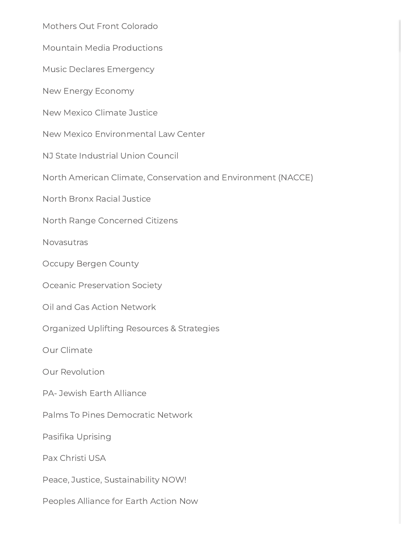Mothers Out Front Colorado

Mountain Media Productions Mothers Out From<br>Mountain Media<br>Music Declares E<br>New Mexico Clim<br>New Mexico Envi<br>NJ State Industria<br>North American (<br>North Range Cor<br>Novasutras<br>Occupy Bergen C<br>Oceanic Preserva<br>Oil and Gas Actio<br>Organized Uplifti<br>Our Clima

Music Declares Emergency

New Energy Economy

New Mexico Climate Justice

New Mexico Environmental Law Center

NJ State Industrial Union Council

North American Climate, Conservation and Environment (NACCE)

North Bronx Racial Justice

North Range Concerned Citizens

Novasutras

Occupy Bergen County

Oceanic Preservation Society

Oil and Gas Action Network

Organized Uplifting Resources & Strategies

Our Climate

Our Revolution

PA- Jewish Earth Alliance

Palms To Pines Democratic Network

Pasifika Uprising

Pax Christi USA

Peace, Justice, Sustainability NOW!

Peoples Alliance for Earth Action Now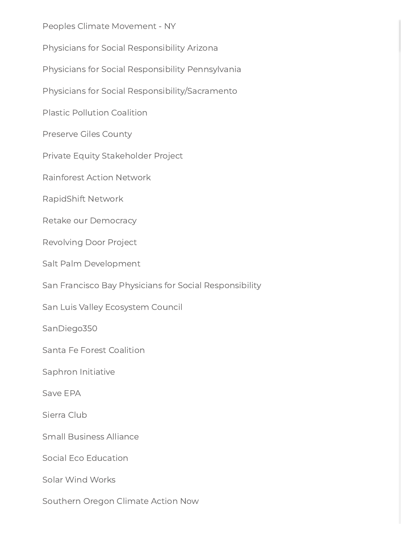Peoples Climate Movement - NY

Physicians for Social Responsibility Arizona

Physicians for Social Responsibility Pennsylvania

Physicians for Social Responsibility/Sacramento

Plastic Pollution Coalition

Preserve Giles County

Private Equity Stakeholder Project

Rainforest Action Network

RapidShift Network

Retake our Democracy

Revolving Door Project

Salt Palm Development

San Francisco Bay Physicians for Social Responsibility

San Luis Valley Ecosystem Council

SanDiego350

Santa Fe Forest Coalition

Saphron Initiative

Save EPA

Sierra Club

Small Business Alliance

Social Eco Education

Solar Wind Works

Southern Oregon Climate Action Now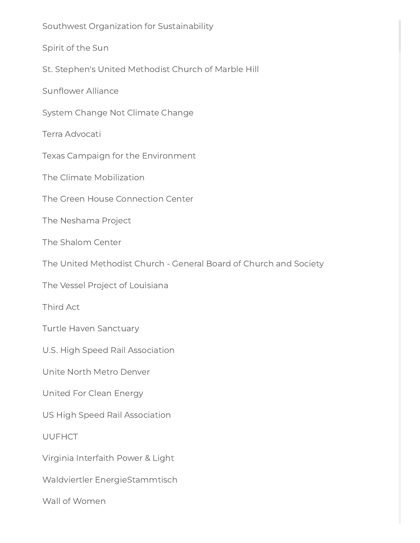Southwest Organization for Sustainability Spirit of the Sun St. Stephen's United Methodist Church of Marble Hill Sunflower Alliance<br>System Change No<br>Terra Advocati<br>Texas Campaign fo<br>The Climate Mobili:<br>The Green House C<br>The Neshama Proje System Change Not Climate Change Terra Advocati Texas Campaign for the Environment The Climate Mobilization The Green House Connection Center The Neshama Project The Shalom Center The United Methodist Church - General Board of Church and Society The Vessel Project of Louisiana Third Act Turtle Haven Sanctuary U.S. High Speed Rail Association Unite North Metro Denver United For Clean Energy US High Speed Rail Association UUFHCT Virginia Interfaith Power & Light Waldviertler EnergieStammtisch Wall of Women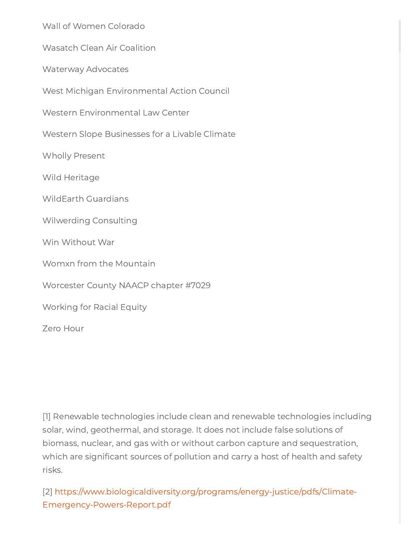Wall of Women Colorado

Wasatch Clean Air Coalition

Waterway Advocates

West Michigan Environmental Action Council

Western Environmental Law Center

Western Slope Businesses for a Livable Climate

Wholly Present

Wild Heritage

WildEarth Guardians

Wilwerding Consulting

Win Without War

Womxn from the Mountain

Worcester County NAACP chapter #7029

Working for Racial Equity

Zero Hour

Wall of Women Colorado<br>Wasatch Clean Air Coalition<br>Waterway Advocates<br>West Michigan Erwironmental Action Council<br>Western Environmental Law Center<br>Western Siope Businesses for a Livable Climate<br>Which Present<br>Wild Heritage<br>W [1] Renewable technologies include clean and renewable technologies including solar, wind, geothermal, and storage. It does not include false solutions of biomass, nuclear, and gas with or without carbon capture and sequestration, which are significant sources of pollution and carry a host of health and safety risks.

[2] [https://www.biologicaldiversity.org/programs/energy-justice/pdfs/Climate-](https://www.biologicaldiversity.org/programs/energy-justice/pdfs/Climate-Emergency-Powers-Report.pdf)Emergency-Powers-Report.pdf